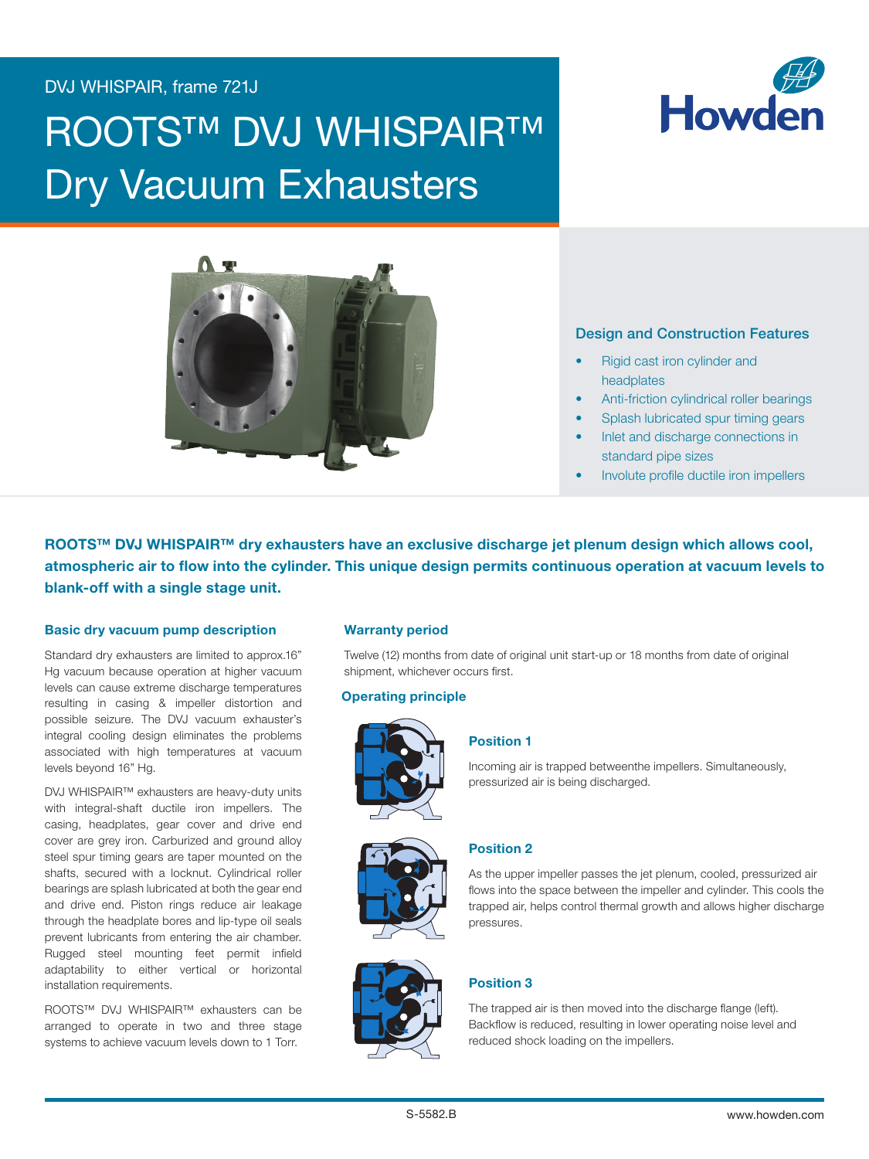## DVJ WHISPAIR, frame 721J

# **ROOTS™ DVJ WHISPAIR™** Dry Vacuum Exhausters





### **Design and Construction Features**

- Rigid cast iron cylinder and headplates
- Anti-friction cylindrical roller bearings
- Splash lubricated spur timing gears
- Inlet and discharge connections in standard pipe sizes
- Involute profile ductile iron impellers

ROOTS™ DVJ WHISPAIR™ dry exhausters have an exclusive discharge jet plenum design which allows cool, atmospheric air to flow into the cylinder. This unique design permits continuous operation at vacuum levels to blank-off with a single stage unit.

#### Basic dry vacuum pump description

Standard dry exhausters are limited to approx.16" Hg vacuum because operation at higher vacuum levels can cause extreme discharge temperatures resulting in casing & impeller distortion and possible seizure. The DVJ vacuum exhauster's integral cooling design eliminates the problems associated with high temperatures at vacuum levels beyond 16" Hg.

DVJ WHISPAIR™ exhausters are heavy-duty units with integral-shaft ductile iron impellers. The casing, headplates, gear cover and drive end cover are grey iron. Carburized and ground alloy steel spur timing gears are taper mounted on the shafts, secured with a locknut. Cylindrical roller bearings are splash lubricated at both the gear end and drive end. Piston rings reduce air leakage through the headplate bores and lip-type oil seals prevent lubricants from entering the air chamber. Rugged steel mounting feet permit infield **Example 2 Post Steam** adaptability to either vertical or horizontal installation requirements.

ROOTS™ DVJ WHISPAIR™ exhausters can be arranged to operate in two and three stage systems to achieve vacuum levels down to 1 Torr.

#### Warranty period

Twelve (12) months from date of original unit start-up or 18 months from date of original shipment, whichever occurs first.

#### Operating principle



#### Position 1

Incoming air is trapped betweenthe impellers. Simultaneously, pressurized air is being discharged.



#### Position 2

As the upper impeller passes the jet plenum, cooled, pressurized air flows into the space between the impeller and cylinder. This cools the trapped air, helps control thermal growth and allows higher discharge pressures.



#### Position 3

The trapped air is then moved into the discharge flange (left). Backflow is reduced, resulting in lower operating noise level and reduced shock loading on the impellers.